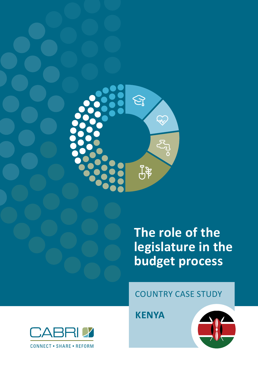

# **The role of the legislature in the budget process**

# COUNTRY CASE STUDY

**KENYA**



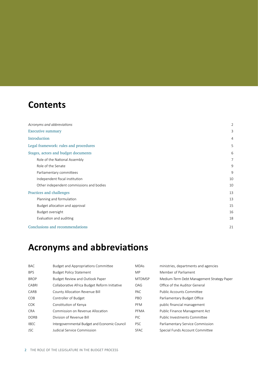# **Contents**

| Acronyms and abbreviations               | $\overline{2}$ |
|------------------------------------------|----------------|
| <b>Executive summary</b>                 | 3              |
| Introduction                             | 4              |
| Legal framework: rules and procedures    | 5              |
| Stages, actors and budget documents      | 6              |
| Role of the National Assembly            | 7              |
| Role of the Senate                       | 9              |
| Parliamentary committees                 | 9              |
| Independent fiscal institution           | 10             |
| Other independent commissions and bodies | 10             |
| Practices and challenges                 | 13             |
| Planning and formulation                 | 13             |
| Budget allocation and approval           | 15             |
| Budget oversight                         | 16             |
| Evaluation and auditing                  | 18             |
| Conclusions and recommendations          | 21             |

# **Acronyms and abbreviations**

| <b>BAC</b>  | <b>Budget and Appropriations Committee</b>    | <b>MDAs</b>   | ministries, departments and agencies       |
|-------------|-----------------------------------------------|---------------|--------------------------------------------|
| <b>BPS</b>  | <b>Budget Policy Statement</b>                | <b>MP</b>     | Member of Parliament                       |
| <b>BROP</b> | <b>Budget Review and Outlook Paper</b>        | <b>MTDMSP</b> | Medium-Term Debt Management Strategy Paper |
| CABRI       | Collaborative Africa Budget Reform Initiative | OAG           | Office of the Auditor General              |
| CARB        | County Allocation Revenue Bill                | PAC           | Public Accounts Committee                  |
| <b>COB</b>  | Controller of Budget                          | PBO           | Parliamentary Budget Office                |
| <b>COK</b>  | Constitution of Kenya                         | <b>PFM</b>    | public financial management                |
| <b>CRA</b>  | Commission on Revenue Allocation              | PFMA          | Public Finance Management Act              |
| <b>DORB</b> | Division of Revenue Bill                      | PIC.          | Public Investments Committee               |
| <b>IBEC</b> | Intergovernmental Budget and Economic Council | <b>PSC</b>    | Parliamentary Service Commission           |
| <b>JSC</b>  | Judicial Service Commission                   | <b>SFAC</b>   | Special Funds Account Committee            |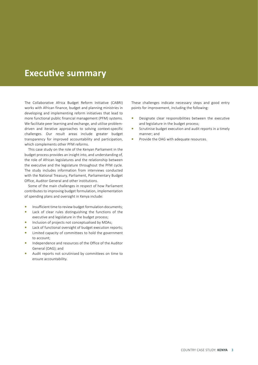# **Executive summary**

The Collaborative Africa Budget Reform Initiative (CABRI) works with African finance, budget and planning ministries in developing and implementing reform initiatives that lead to more functional public financial management (PFM) systems. We facilitate peer learning and exchange, and utilise problemdriven and iterative approaches to solving context-specific challenges. Our result areas include greater budget transparency for improved accountability and participation, which complements other PFM reforms.

This case study on the role of the Kenyan Parliament in the budget process provides an insight into, and understanding of, the role of African legislatures and the relationship between the executive and the legislature throughout the PFM cycle. The study includes information from interviews conducted with the National Treasury, Parliament, Parliamentary Budget Office, Auditor General and other institutions.

Some of the main challenges in respect of how Parliament contributes to improving budget formulation, implementation of spending plans and oversight in Kenya include:

- **•** Insufficient time to review budget formulation documents;
- **•** Lack of clear rules distinguishing the functions of the executive and legislature in the budget process;
- **•** Inclusion of projects not conceptualised by MDAs;
- **•** Lack of functional oversight of budget execution reports;
- **•** Limited capacity of committees to hold the government to account;
- **•** Independence and resources of the Office of the Auditor General (OAG); and
- **•** Audit reports not scrutinised by committees on time to ensure accountability.

These challenges indicate necessary steps and good entry points for improvement, including the following:

- **•** Designate clear responsibilities between the executive and legislature in the budget process;
- **•** Scrutinise budget execution and audit reports in a timely manner; and
- **•** Provide the OAG with adequate resources.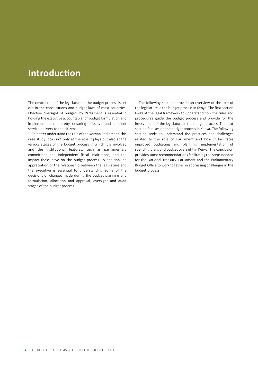# **Introduction**

The central role of the legislature in the budget process is set out in the constitutions and budget laws of most countries. Effective oversight of budgets by Parliament is essential in holding the executive accountable for budget formulation and implementation, thereby ensuring effective and efficient service delivery to the citizens.

To better understand the role of the Kenyan Parliament, this case study looks not only at the role it plays but also at the various stages of the budget process in which it is involved and the institutional features, such as parliamentary committees and independent fiscal institutions, and the impact these have on the budget process. In addition, an appreciation of the relationship between the legislature and the executive is essential to understanding some of the decisions or changes made during the budget planning and formulation, allocation and approval, oversight and audit stages of the budget process.

The following sections provide an overview of the role of the legislature in the budget process in Kenya. The first section looks at the legal framework to understand how the rules and procedures guide the budget process and provide for the involvement of the legislature in the budget process. The next section focuses on the budget process in Kenya. The following section seeks to understand the practices and challenges related to the role of Parliament and how it facilitates improved budgeting and planning, implementation of spending plans and budget oversight in Kenya. The conclusion provides some recommendations facilitating the steps needed for the National Treasury, Parliament and the Parliamentary Budget Office to work together in addressing challenges in the budget process.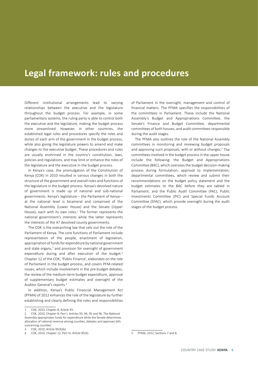# **Legal framework: rules and procedures**

Different institutional arrangements lead to varying relationships between the executive and the legislature throughout the budget process. For example, in some parliamentary systems, the ruling party is able to control both the executive and the legislature, making the budget process more streamlined. However, in other countries, the established legal rules and procedures specify the roles and duties of each arm of the government in the budget process, while also giving the legislature powers to amend and make changes to the executive budget. These procedures and rules are usually enshrined in the country's constitution, laws, policies and regulations, and may limit or enhance the roles of the legislature and the executive in the budget process.

In Kenya's case, the promulgation of the Constitution of Kenya (COK) in 2010 resulted in various changes in both the structure of the government and overall roles and functions of the legislature in the budget process. Kenya's devolved nature of government is made up of national and sub-national governments. Kenya's legislature – the Parliament of Kenya – at the national level is bicameral and comprised of the National Assembly (Lower House) and the Senate (Upper House), each with its own roles. $1$  The former represents the national government's interests while the latter represents the interests of the 47 devolved county governments.

The COK is the overarching law that sets out the role of the Parliament of Kenya. The core functions of Parliament include representation of the people, enactment of legislation, appropriation of funds for expenditure by national government and state organs.<sup>2</sup> and provision for oversight of government expenditure during and after execution of the budget.<sup>3</sup> Chapter 12 of the COK, 'Public Finance', elaborates on the role of Parliament in the budget process, and covers PFM-related issues, which include involvement in the pre-budget debates, the review of the medium-term budget expenditure, approval of supplementary budget estimates and oversight of the Auditor General's reports.<sup>4</sup>

In addition, Kenya's Public Financial Management Act (PFMA) of 2012 enhances the role of the legislature by further establishing and clearly defining the roles and responsibilities

of Parliament in the oversight, management and control of financial matters. The PFMA specifies the responsibilities of the committees in Parliament. These include the National Assembly's Budget and Appropriations Committee, the Senate's Finance and Budget Committee, departmental committees of both houses, and audit committees responsible during the audit stages.

The PFMA also outlines the role of the National Assembly committees in monitoring and reviewing budget proposals and approving such proposals, with or without changes.<sup>5</sup> The committees involved in the budget process in the upper house include the following: the Budget and Appropriations Committee (BAC), which oversees the budget decision-making process during formulation, approval to implementation; departmental committees, which review and submit their recommendations on the budget policy statement and the budget estimates to the BAC before they are tabled in Parliament; and the Public Audit Committee (PAC), Public Investments Committee (PIC) and Special Funds Account Committee (SFAC), which provide oversight during the audit stages of the budget process.

<sup>1</sup> COK, 2010, Chapter 8, Article 93.

COK, 2010, Chapter 8, Part I; Articles 93, 94, 95 and 96. The National Assembly appropriates funds for expenditure while the Senate determines allocation of national revenue among counties, debates and approves bills concerning counties'.

<sup>3</sup> COK, 2010, Article 95(4)(b).

<sup>4</sup> COK, 2010, Chapter 12, Part IV; Article 95(4).

<sup>5</sup> PFMA, 2012, Sections 7 and 8.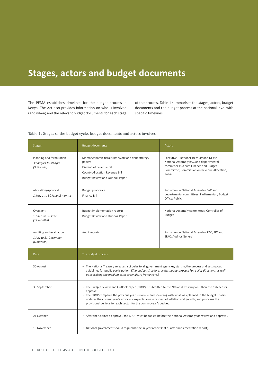# **Stages, actors and budget documents**

The PFMA establishes timelines for the budget process in Kenya. The Act also provides information on who is involved (and when) and the relevant budget documents for each stage of the process. Table 1 summarises the stages, actors, budget documents and the budget process at the national level with specific timelines.

#### Table 1: Stages of the budget cycle, budget documents and actors involved

| <b>Stages</b>                                                   | <b>Budget documents</b>                                                                                                                                                                                                                                                                                                                                                                                              | <b>Actors</b>                                                                                                                                                                         |
|-----------------------------------------------------------------|----------------------------------------------------------------------------------------------------------------------------------------------------------------------------------------------------------------------------------------------------------------------------------------------------------------------------------------------------------------------------------------------------------------------|---------------------------------------------------------------------------------------------------------------------------------------------------------------------------------------|
| Planning and formulation<br>30 August to 30 April<br>(9 months) | Macroeconomic fiscal framework and debt strategy<br>papers<br>Division of Revenue Bill<br>County Allocation Revenue Bill<br>Budget Review and Outlook Paper                                                                                                                                                                                                                                                          | Executive – National Treasury and MDA's;<br>National Assembly BAC and departmental<br>committees; Senate Finance and Budget<br>Committee; Commission on Revenue Allocation;<br>Public |
| Allocation/Approval<br>1 May 1 to 30 June (2 months)            | Budget proposals<br>Finance Bill                                                                                                                                                                                                                                                                                                                                                                                     | Parliament - National Assembly BAC and<br>departmental committees; Parliamentary Budget<br>Office; Public                                                                             |
| Oversight<br>1 July 1 to 30 June<br>$(12$ months)               | <b>Budget implementation reports</b><br>Budget Review and Outlook Paper                                                                                                                                                                                                                                                                                                                                              | National Assembly committees; Controller of<br><b>Budget</b>                                                                                                                          |
| Auditing and evaluation<br>1 July to 31 December<br>(6 months)  | Audit reports                                                                                                                                                                                                                                                                                                                                                                                                        | Parliament - National Assembly, PAC, PIC and<br>SFAC; Auditor General                                                                                                                 |
| Date                                                            | The budget process                                                                                                                                                                                                                                                                                                                                                                                                   |                                                                                                                                                                                       |
| 30 August                                                       | • The National Treasury releases a circular to all government agencies, starting the process and setting out<br>guidelines for public participation. (The budget circular provides budget process key policy directions as well<br>as specifying the medium-term expenditure framework.)                                                                                                                             |                                                                                                                                                                                       |
| 30 September                                                    | • The Budget Review and Outlook Paper (BROP) is submitted to the National Treasury and then the Cabinet for<br>approval.<br>• The BROP compares the previous year's revenue and spending with what was planned in the budget. It also<br>updates the current year's economic expectations in respect of inflation and growth, and proposes the<br>provisional ceilings for each sector for the coming year's budget. |                                                                                                                                                                                       |
| 21 October                                                      | • After the Cabinet's approval, the BROP must be tabled before the National Assembly for review and approval.                                                                                                                                                                                                                                                                                                        |                                                                                                                                                                                       |
| 15 November                                                     | • National government should to publish the in-year report (1st quarter implementation report).                                                                                                                                                                                                                                                                                                                      |                                                                                                                                                                                       |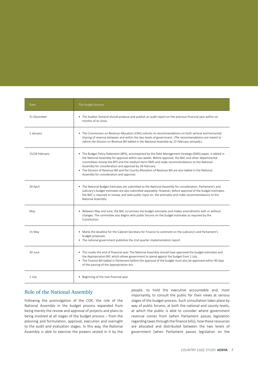| Date           | The budget process                                                                                                                                                                                                                                                                                                                                                                                                                                                                                                                  |
|----------------|-------------------------------------------------------------------------------------------------------------------------------------------------------------------------------------------------------------------------------------------------------------------------------------------------------------------------------------------------------------------------------------------------------------------------------------------------------------------------------------------------------------------------------------|
| 31 December    | • The Auditor General should produce and publish an audit report on the previous financial year within six<br>months of its close.                                                                                                                                                                                                                                                                                                                                                                                                  |
| 1 January      | • The Commission on Revenue Allocation (CRA) submits its recommendations on both vertical and horizontal<br>sharing of revenue between and within the two levels of government. (The recommendations are meant to<br>inform the Division on Revenue Bill tabled in the National Assembly by 15 February annually.)                                                                                                                                                                                                                  |
| 15/28 February | • The Budget Policy Statement (BPS), accompanied by the Debt Management Strategy (DMS) paper, is tabled in<br>the National Assembly for approval within two weeks. Before approval, the BAC and other departmental<br>committees review the BPS and the medium-term DMS and make recommendations to the National<br>Assembly for consideration and approval by 28 February.<br>• The Division of Revenue Bill and the County Allocation of Revenue Bill are also tabled in the National<br>Assembly for consideration and approval. |
| 30 April       | • The National Budget Estimates are submitted to the National Assembly for consideration. Parliament's and<br>judiciary's budget estimates are also submitted separately. However, before approval of the budget estimates,<br>the BAC is required to review, and seek public input on, the estimates and make recommendations to the<br>National Assembly.                                                                                                                                                                         |
| May            | Between May and June, the BAC scrutinises the budget estimates and makes amendments with or without<br>changes. The committee also begins with public forums on the budget estimates as required by the<br>Constitution.                                                                                                                                                                                                                                                                                                            |
| 15 May         | • Marks the deadline for the Cabinet Secretary for Finance to comment on the judiciary's and Parliament's<br>budget proposals.<br>• The national government publishes the 2nd quarter implementation report.                                                                                                                                                                                                                                                                                                                        |
| 30 June        | • This marks the end of financial year. The National Assembly should have approved the budget estimates and<br>the Appropriation Bill, which allows government to spend against the budget from 1 July.<br>• The Finance Bill tabled in Parliament before the approval of the budget must also be approved within 90 days<br>of the passing of the Appropriation Act.                                                                                                                                                               |
| 1 July         | • Beginning of the new financial year                                                                                                                                                                                                                                                                                                                                                                                                                                                                                               |

### Role of the National Assembly

Following the promulgation of the COK, the role of the National Assembly in the budget process expanded from being merely the review and approval of projects and plans to being involved at all stages of the budget process – from the planning and formulation, approval, execution and oversight to the audit and evaluation stages. In this way, the National Assembly is able to exercise the powers vested in it by the

people, to hold the executive accountable and, most importantly, to consult the public for their views at various stages of the budget process. Such consultation takes place by way of public forums, at both the national and county levels, at which the public is able to consider where government revenue comes from (when Parliament passes legislation regarding taxesthrough the finance bills), how these resources are allocated and distributed between the two levels of government (when Parliament passes legislation on the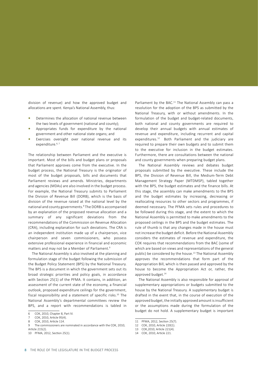division of revenue) and how the approved budget and allocations are spent. Kenya's National Assembly, thus:

- **•** Determines the allocation of national revenue between the two levels of government (national and county);
- **•** Appropriates funds for expenditure by the national government and other national state organs; and
- **•** Exercises oversight over national revenue and its expenditure.<sup>6, 7</sup>

The relationship between Parliament and the executive is important. Most of the bills and budget plans or proposals that Parliament approves come from the executive. In the budget process, the National Treasury is the originator of most of the budget proposals, bills and documents that Parliament reviews and amends. Ministries, departments and agencies (MDAs) are also involved in the budget process. For example, the National Treasury submits to Parliament the Division of Revenue Bill (DORB), which is the basis of division of the revenue raised at the national level by the national and county governments.<sup>8</sup> The DORB is accompanied by an explanation of the proposed revenue allocation and a summary of any significant deviations from the recommendations of the Commission on Revenue Allocation (CRA), including explanation for such deviations. The CRA is an independent institution made up of a chairperson, vice chairperson and seven commissioners, who possess extensive professional experience in financial and economic matters and may not be a Member of Parliament.<sup>9</sup>

The National Assembly is also involved at the planning and formulation stage of the budget following the submission of the Budget Policy Statement (BPS) by the National Treasury. The BPS is a document in which the government sets out its broad strategic priorities and policy goals, in accordance with Section 25(1) of the PFMA. It contains, in addition, an assessment of the current state of the economy, a financial outlook, proposed expenditure ceilings for the government, fiscal responsibility and a statement of specific risks.<sup>10</sup> The National Assembly's departmental committees review the BPS, and a report with recommendations is tabled in Parliament by the BAC.<sup>11</sup> The National Assembly can pass a resolution for the adoption of the BPS as submitted by the National Treasury, with or without amendments. In the formulation of the budget and budget-related documents, both national and county governments are required to develop their annual budgets with annual estimates of revenue and expenditure, including recurrent and capital expenditures.12 Both Parliament and the judiciary are required to prepare their own budgets and to submit them to the executive for inclusion in the budget estimates. Furthermore, there are consultations between the national and county governments when preparing budget plans.

The National Assembly reviews and debates budget proposals submitted by the executive. These include the BPS, the Division of Revenue Bill, the Medium-Term Debt Management Strategy Paper (MTDMSP), tabled together with the BPS, the budget estimates and the finance bills. At this stage, the assembly can make amendments to the BPS and the budget estimates by increasing, decreasing or reallocating resources to other sectors and programmes, if deemed necessary. The PFMA sets rules and procedures to be followed during this stage, and the extent to which the National Assembly is permitted to make amendments to the proposed ceilings in the BPS and the budget estimates. The rule of thumb is that any changes made in the house must not increase the budget deficit. Before the National Assembly considers the estimates of revenue and expenditure, the COK requires that recommendations from the BAC (some of which are based on views and representations of the general public) be considered by the house.<sup>13</sup> The National Assembly approves the recommendations that form part of the Appropriation Bill, which is then passed and approved by the house to become the Appropriation Act or, rather, the approved budget.<sup>14</sup>

The National Assembly is also responsible for approval of supplementary appropriations or budgets submitted to the house by the National Treasury. A supplementary budget is drafted in the event that, in the course of execution of the approved budget, the initially approved amount is insufficient or the assumptions made during the formulation of the budget do not hold. A supplementary budget is important

<sup>6</sup> COK, 2010, Chapter 8, Part IV.

COK, 2010, Article 95(4).

<sup>8</sup> COK, 2010, Article 114.

<sup>9</sup> The commissioners are nominated in accordance with the COK, 2010, Article 215(2).

<sup>10</sup> PFMA, 2012, Section 25(1).

<sup>11</sup> PFMA, 2012, Section 25(7).

<sup>12</sup> COK, 2010, Article 220(1).

<sup>13</sup> COK,2010, Article 221(4).

<sup>14</sup> COK, 2010, Article 221.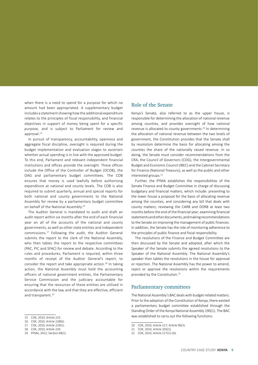when there is a need to spend for a purpose for which no amount had been appropriated. A supplementary budget includes a statement showing how the additional expenditure relates to the principles of fiscal responsibility, and financial objectives in support of money being spent for a specific purpose, and is subject to Parliament for review and approval.<sup>15</sup>

In pursuit of transparency, accountability, openness and aggregate fiscal discipline, oversight is required during the budget implementation and evaluation stages to ascertain whether actual spending is in line with the approved budget. To this end, Parliament and relevant independent financial institutions and offices provide the oversight. These offices include the Office of the Controller of Budget (OCOB), the OAG and parliamentary budget committees. The COB ensures that money is used lawfully before authorising expenditure at national and county levels. The COB is also required to submit quarterly, annual and special reports for both national and county governments to the National Assembly for review by a parliamentary budget committee on behalf of the National Assembly.<sup>16</sup>

The Auditor General is mandated to audit and draft an audit report within six months after the end of each financial year on all of the accounts of the national and county governments, as well as other state entities and independent commissions.<sup>17</sup> Following the audit, the Auditor General submits the report to the clerk of the National Assembly, who then tables the report to the respective committees (PAC, PIC and SFAC) for review and debate. According to the rules and procedures, Parliament is required, within three months of receipt of the Auditor General's report, to consider the report and take appropriate action.<sup>18</sup> In taking action, the National Assembly must hold the accounting officers of national government entities, the Parliamentary Service Commission and the judiciary accountable for ensuring that the resources of these entities are utilised in accordance with the law, and that they are effective, efficient and transparent.<sup>19</sup>

17 COK, 2010, Article 229(1).

#### Role of the Senate

Kenya's Senate, also referred to as the upper house, is responsible for determining the allocation of national revenue among counties, and provides oversight of how national revenue is allocated to county governments.<sup>20</sup> In determining the allocation of national revenue between the two levels of government, the Constitution provides that the Senate shall by resolution determine the basis for allocating among the counties the share of the nationally raised revenue. In so doing, the Senate must consider recommendations from the CRA, the Council of Governors (COG), the Intergovernmental Budget and Economic Council (IBEC) and the Cabinet Secretary for Finance (National Treasury), as well as the public and other interested groups.<sup>21</sup>

Further, the PFMA establishes the responsibilities of the Senate Finance and Budget Committee in charge of discussing budgetary and financial matters, which include: presenting to the lower house a proposal for the basis of allocating revenue among the counties, and considering any bill that deals with county matters; reviewing the CARB and DORB at least two months before the end of the financial year; examining financial statementsandotherdocuments,andmakingrecommendations to the Senate on improving the management of public finances. In addition, the Senate has the role of monitoring adherence to the principles of public finance and fiscal responsibility.

The resolutions of the Finance and Budget Committee are then discussed by the Senate and adopted, after which the Speaker of the Senate submits the agreed resolutions to the Speaker of the National Assembly. The National Assembly's speaker then tables the resolutions in the house for approval or rejection. The National Assembly has the power to amend. reject or approve the resolutions within the requirements provided by the Constitution.<sup>22</sup>

#### Parliamentary committees

The National Assembly's BAC dealswith budget-related matters. Prior to the adoption of the Constitution of Kenya, there existed a parliamentary budget committee established through the Standing Order of the Kenya National Assembly 190(1). The BAC was established to carry out the following functions:

<sup>15</sup> COK, 2010, Article 223.

<sup>16</sup> COK, 2010, Article 228(6).

<sup>18</sup> COK, 2010, Article 229.

<sup>19</sup> PFMA, 2012, Section 68(1).

<sup>20</sup> COK, 2010, Article 217; Article 96(3).

<sup>21</sup> COK, 2010, Article 203(1).

<sup>22</sup> COK, 2010, Article 217(1)–(6).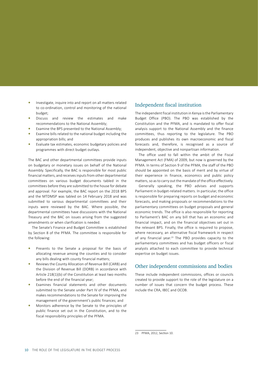- **•** Investigate, inquire into and report on all matters related to co-ordination, control and monitoring of the national budget;
- **•** Discuss and review the estimates and make recommendations to the National Assembly;
- **•** Examine the BPS presented to the National Assembly;
- **•** Examine bills related to the national budget including the appropriation bills; and
- **•** Evaluate tax estimates, economic budgetary policies and programmes with direct budget outlays.

The BAC and other departmental committees provide inputs on budgetary or monetary issues on behalf of the National Assembly. Specifically, the BAC is responsible for most public financial matters, and receivesinputsfrom other departmental committees on various budget documents tabled in the committees before they are submitted to the house for debate and approval. For example, the BAC report on the 2018 BPS and the MTDMSP was tabled on 14 February 2018 and was submitted to various departmental committees and their inputs were reviewed by the BAC. Where possible, the departmental committees have discussions with the National Treasury and the BAC on issues arising from the suggested amendments or when clarification is needed.

The Senate's Finance and Budget Committee is established by Section 8 of the PFMA. The committee is responsible for the following:

- **•** Presents to the Senate a proposal for the basis of allocating revenue among the counties and to consider any bills dealing with county financial matters;
- **•** Reviews the County Allocation of Revenue Bill (CARB) and the Division of Revenue Bill (DORB) in accordance with Article 218(1)(b) of the Constitution at least two months before the end of the financial year;
- **•** Examines financial statements and other documents submitted to the Senate under Part IV of the PFMA, and makes recommendations to the Senate for improving the management of the government's public finances; and
- **•** Monitors adherence by the Senate to the principles of public finance set out in the Constitution, and to the fiscal responsibility principles of the PFMA.

### Independent fiscal institution

The independent fiscal institution in Kenya is the Parliamentary Budget Office (PBO). The PBO was established by the Constitution and the PFMA, and is mandated to offer fiscal analysis support to the National Assembly and the finance committees, thus reporting to the legislature. The PBO produces and publishes its own macroeconomic and fiscal forecasts and, therefore, is recognised as a source of independent, objective and nonpartisan information.

The office used to fall within the ambit of the Fiscal Management Act (FMA) of 2009, but now is governed by the PFMA. In terms of Section 9 of the PFMA, the staff of the PBO should be appointed on the basis of merit and by virtue of their experience in finance, economics and public policy matters, so as to carry out the mandate of the office effectively.

Generally speaking, the PBO advises and supports Parliament in budget-related matters. In particular, the office is responsible for preparing reports on budget and economic forecasts, and making proposals or recommendations to the parliamentary committees on budget proposals and general economic trends. The office is also responsible for reporting to Parliament's BAC on any bill that has an economic and financial impact, and on the financial objectives set out in the relevant BPS. Finally, the office is required to propose, where necessary, an alternative fiscal framework in respect of any financial year.<sup>23</sup> The PBO provides capacity to the parliamentary committees and has budget officers or fiscal analysts attached to each committee to provide technical expertise on budget issues.

### Other independent commissions and bodies

These include independent commissions, offices or councils created to provide support to the role of the legislature on a number of issues that concern the budget process. These include the CRA, IBEC and OCOB.

<sup>23</sup> PFMA, 2012, Section 10.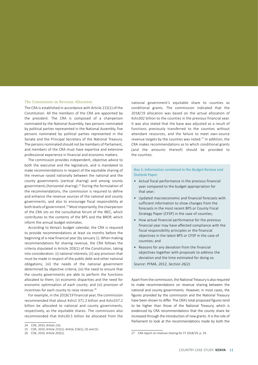#### The Commission on Revenue Allocation

The CRA is established in accordance with Article 215(1) of the Constitution. All the members of the CRA are appointed by the president. The CRA is composed of a chairperson nominated by the National Assembly, two persons nominated by political parties represented in the National Assembly, five persons nominated by political parties represented in the Senate and the Principal Secretary of the National Treasury. The persons nominated should not be members of Parliament, and members of the CRA must have expertise and extensive professional experience in financial and economic matters.

The commission provides independent, objective advice to both the executive and the legislature, and is mandated to make recommendations in respect of the equitable sharing of the revenue raised nationally between the national and the county governments (vertical sharing) and among county governments (horizontal sharing).<sup>24</sup> During the formulation of the recommendations, the commission is required to define and enhance the revenue sources of the national and county governments, and also to encourage fiscal responsibility at both levels of government.<sup>25</sup> Most importantly, the chairperson of the CRA sits on the consultative forum of the IBEC, which contributes to the contents of the BPS and the BROP, which inform the annual budget estimates.

According to Kenya's budget calendar, the CRA is required to provide recommendations at least six months before the beginning of a new financial year (by January 1). When making recommendations for sharing revenue, the CRA follows the criteria stipulated in Article 203(1) of the Constitution, taking into consideration: (i) national interests; (ii) any provision that must be made in respect of the public debt and other national obligations; (iii) the needs of the national government determined by objective criteria; (iv) the need to ensure that the county governments are able to perform the functions allocated to them; (v) economic disparities and the need for economic optimisation of each county; and (vi) provision of incentives for each county to raise revenue.<sup>26</sup>

For example, in the 2018/19 financial year, the commission recommended that about Kshs1 371.2 billion and Kshs337.2 billion be allocated to national and county governments, respectively, as the equitable shares. The commission also recommended that Kshs30.5 billion be allocated from the national government's equitable share to counties as conditional grants. The commission indicated that the 2018/19 allocation was based on the actual allocation of Kshs302 billion to the counties in the previous financial year. It was also stated that the base was adjusted as a result of functions previously transferred to the counties without attendant resources, and the failure to meet own-source revenue targets by the counties was noted.<sup>27</sup> In addition, the CRA makes recommendations as to which conditional grants (and the amounts thereof) should be provided to the counties.

#### **Box 1: Information contained in the Budget Review and Outlook Paper**

- Actual fiscal performance in the previous financial year compared to the budget appropriation for that year;
- Updated macroeconomic and financial forecasts with sufficient information to show changes from the forecasts in the most recent BPS or County Fiscal Strategy Paper (CFSP) in the case of counties;
- How actual financial performance for the previous financial year may have affected compliance with the fiscal responsibility principles or the financial objectives in the latest BPS or CFSP in the case of counties; and
- Reasons for any deviation from the financial objectives together with proposals to address the deviation and the time estimated for doing so.

*Source: PFMA, 2012, Section 26(2)*

Apart from the commission, the National Treasury is also required to make recommendations on revenue sharing between the national and county governments. However, in most cases, the figures provided by the commission and the National Treasury have been shown to differ. The CRA's total proposed figures tend to be higher than those of the National Treasury, which is evidenced by CRA recommendations that the county share be increased through the introduction of new grants. It is the role of Parliament to look at the recommendations made by both the

<sup>24</sup> COK, 2010, Article 216.

<sup>25</sup> COK, 2010, Article 215(1), Article 216(1), (3) and (5).

<sup>26</sup> COK, 2010, Article 203(1).

<sup>27</sup> CRA report on revenue sharing for FY 2018/19, p. 29.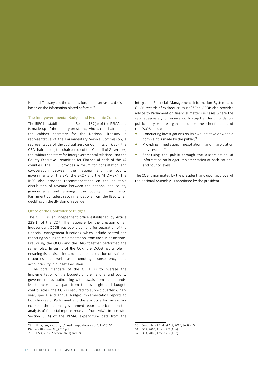National Treasury and the commission, and to arrive at a decision based on the information placed before it.<sup>28</sup>

#### The Intergovernmental Budget and Economic Council

The IBEC is established under Section 187(a) of the PFMA and is made up of the deputy president, who is the chairperson, the cabinet secretary for the National Treasury, a representative of the Parliamentary Service Commission, a representative of the Judicial Service Commission (JSC), the CRA chairperson, the chairperson of the Council of Governors, the cabinet secretary for intergovernmental relations, and the County Executive Committee for Finance of each of the 47 counties. The IBEC provides a forum for consultation and co-operation between the national and the county governments on the BPS, the BROP and the MTDMSP.29 The IBEC also provides recommendations on the equitable distribution of revenue between the national and county governments and amongst the county governments. Parliament considers recommendations from the IBEC when deciding on the division of revenue.

#### Office of the Controller of Budget

The OCOB is an independent office established by Article 228(1) of the COK. The rationale for the creation of an independent OCOB was public demand for separation of the financial management functions, which include control and reporting on budget implementation, from the audit functions. Previously, the OCOB and the OAG together performed the same roles. In terms of the COK, the OCOB has a role in ensuring fiscal discipline and equitable allocation of available resources, as well as promoting transparency and accountability in budget execution.

The core mandate of the OCOB is to oversee the implementation of the budgets of the national and county governments by authorising withdrawals from public funds. Most importantly, apart from the oversight and budgetcontrol roles, the COB is required to submit quarterly, halfyear, special and annual budget implementation reports to both houses of Parliament and the executive for review. For example, the national government reports are based on the analysis of financial reports received from MDAs in line with Section 83(4) of the PFMA, expenditure data from the Integrated Financial Management Information System and OCOB records of exchequer issues.<sup>30</sup> The OCOB also provides advice to Parliament on financial matters in cases where the cabinet secretary for finance would stop transfer of funds to a public entity or state organ. In addition, the other functions of the OCOB include:

- **•** Conducting investigations on its own initiative or when a complaint is made by the public; $31$
- **•** Providing mediation, negotiation and, arbitration services; and<sup>32</sup>
- **•** Sensitising the public through the dissemination of information on budget implementation at both national and county levels.

The COB is nominated by the president, and upon approval of the National Assembly, is appointed by the president.

<sup>28</sup> http://kenyalaw.org/kl/fileadmin/pdfdownloads/bills/2016/

DivisionofRevenueBill\_2016.pdf

<sup>29</sup> PFMA, 2012, Section 187(1) and (2).

<sup>30</sup> Controller of Budget Act, 2016, Section 5.

<sup>31</sup> COK, 2010, Article 252(1)(a).

<sup>32</sup> COK, 2010, Article 252(1)(b).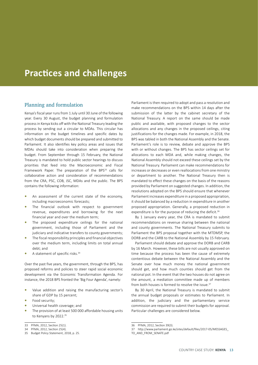# **Practices and challenges**

### Planning and formulation

Kenya's fiscal year runs from 1 July until 30 June of the following year. Every 30 August, the budget planning and formulation processin Kenya kicks off with the National Treasury leading the process by sending out a circular to MDAs. This circular has information on the budget timelines and specific dates by which budget documents should be prepared and submitted to Parliament. It also identifies key policy areas and issues that MDAs should take into consideration when preparing the budget. From September through 15 February, the National Treasury is mandated to hold public sector hearings to discuss priorities that feed into the Macroeconomic and Fiscal Framework Paper. The preparation of the BPS<sup>33</sup> calls for collaborative action and consideration of recommendations from the CRA, PSC, COB, JSC, MDAs and the public. The BPS contains the following information:

- **•** An assessment of the current state of the economy, including macroeconomic forecasts;
- **•** The financial outlook with respect to government revenue, expenditures and borrowing for the next financial year and over the medium term;
- **•** The proposed expenditure ceilings for the national government, including those of Parliament and the judiciary and indicative transfers to county governments;
- **•** The fiscal responsibility principles and financial objectives over the medium term, including limits on total annual debt; and
- **•** A statement of specific risks.<sup>34</sup>

Over the past five years, the government, through the BPS, has proposed reforms and policies to steer rapid social economic development via the Economic Transformation Agenda. For instance, the 2018 BPS fronted the 'Big Four Agenda', namely:

- **•** Value addition and raising the manufacturing sector's share of GDP by 15 percent;
- **•** Food security;
- **•** Universal health coverage; and
- **•** The provision of at least 500 000 affordable housing units to Kenyans by 2022.<sup>35</sup>

Parliament is then required to adopt and pass a resolution and make recommendations on the BPS within 14 days after the submission of the latter by the cabinet secretary of the National Treasury. A report on the same should be made public and available, with proposed changes to the sector allocations and any changes in the proposed ceilings, citing justifications for the changes made. For example, in 2018, the BPS was tabled in both the National Assembly and the Senate. Parliament's role is to review, debate and approve the BPS with or without changes. The BPS has sector ceilings set for allocations to each MDA and, while making changes, the National Assembly should not exceed these ceilings set by the National Treasury. Parliament can make recommendations for increases or decreases or even reallocations from one ministry or department to another. The National Treasury then is mandated to effect these changes on the basis of the reasons provided by Parliament on suggested changes. In addition, the resolutions adopted on the BPS should ensure that whenever Parliament increases expenditure in a proposed appropriation, it should be balanced by a reduction in expenditure in another proposed appropriation. Generally, a proposed reduction in expenditure is for the purpose of reducing the deficit.<sup>36</sup>

By 1 January every year, the CRA is mandated to submit recommendations on revenue sharing between the national and county governments. The National Treasury submits to Parliament the BPS proposal together with the MTDMSP, the DORB and the CARB to the National Assembly by 15 February.

Parliament should debate and approve the DORB and CARB by 16 March. However, these bills are not usually approved on time because the process has been the cause of extremely contentious debate between the National Assembly and the Senate over how much money the national government should get, and how much counties should get from the national pot. In the event that the two houses do not agree on the amount, a mediation committee made up of members from both houses is formed to resolve the issue.<sup>37</sup>

By 30 April, the National Treasury is mandated to submit the annual budget proposals or estimates to Parliament. In addition, the judiciary and the parliamentary service commission are required to submit their budgets for approval. Particular challenges are considered below.

37 http://www.parliament.go.ke/sites/default/files/2017-05/MESSAGES\_

<sup>33</sup> PFMA, 2012, Section 25(1).

<sup>34</sup> PFMA, 2012, Section 25(4).

<sup>35</sup> Budget Policy Statement, 2018, p. 25.

<sup>36</sup> PFMA, 2012, Section 39(3).

TO\_AND\_FROM\_SENATE.pdf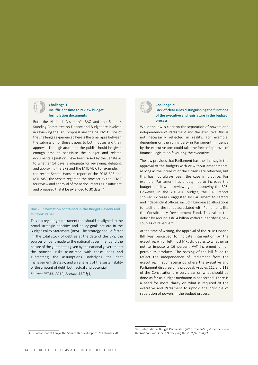

#### **Challenge 1: Insufficient time to review budget formulation documents**

Both the National Assembly's BAC and the Senate's Standing Committee on Finance and Budget are involved in reviewing the BPS proposal and the MTDMSP. One of the challenges experienced here isthe time lapse between the submission of these papers to both houses and their approval. The legislature and the public should be given enough time to scrutinise the budget and related documents. Questions have been raised by the Senate as to whether 14 days is adequate for reviewing, debating and approving the BPS and the MTDMSP. For example, in the recent Senate Hansard report of the 2018 BPS and MTDMSP, the Senate regarded the time set by the PFMA for review and approval of these documents as insufficient and proposed that it be extended to 30 days.<sup>38</sup>

#### **Box 2: Information contained in the Budget Review and Outlook Paper**

This is a key budget document that should be aligned to the broad strategic priorities and policy goals set out in the Budget Policy Statement (BPS). The strategy should factor in: the total stock of debt as at the date of the BPS; the sources of loans made to the national government and the nature of the guarantees given by the national government; the principal risks associated with these loans and guarantees; the assumptions underlying the debt management strategy; and an analysis of the sustainability of the amount of debt, both actual and potential.

*Source: PFMA, 2012, Section 33(2)(3).*



#### **Challenge 2: Lack of clear rules distinguishing the functions of the executive and legislature in the budget process**

While the law is clear on the separation of powers and independence of Parliament and the executive, this is not necessarily reflected in reality. For example, depending on the ruling party in Parliament, influence by the executive arm could take the form of approval of financial legislation favouring the executive.

The law provides that Parliament has the final say in the approval of the budgets with or without amendments, as long as the interests of the citizens are reflected, but this has not always been the case in practice. For example, Parliament has a duty not to increase the budget deficit when reviewing and approving the BPS. However, in the 2015/16 budget, the BAC report showed increases suggested by Parliament to sectors and independent offices, including increased allocations to itself and the funds associated with Parliament, like the Constituency Development Fund. This raised the deficit by around Ksh14 billion without identifying new sources of revenue.39

At the time of writing, the approval of the 2018 Finance Bill was perceived to indicate intervention by the executive, which left most MPs divided as to whether or not to impose a 16 percent VAT increment on all petroleum products. The passing of the bill failed to reflect the independence of Parliament from the executive. In such scenarios where the executive and Parliament disagree on a proposal, Articles 112 and 113 of the Constitution are very clear on what should be done as far as budget mediation is concerned. There is a need for more clarity on what is required of the executive and Parliament to uphold the principle of separation of powers in the budget process.

<sup>38</sup> Parliament of Kenya, the Senate Hansard report, 28 February 2018.

<sup>39</sup> International Budget Partnership (2015) *The Role of Parliament and the National Treasury in Developing the 2015/16 Budget*.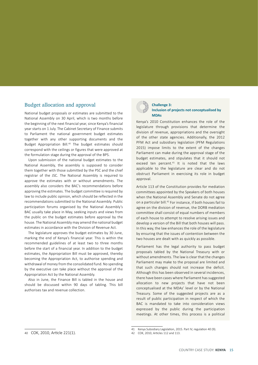### Budget allocation and approval

National budget proposals or estimates are submitted to the National Assembly on 30 April, which is two months before the beginning of the next financial year, since Kenya's financial year starts on 1 July. The Cabinet Secretary of Finance submits to Parliament the national government budget estimates together with any other supporting documents and the Budget Appropriation Bill.<sup>40</sup> The budget estimates should correspond with the ceilings or figures that were approved at the formulation stage during the approval of the BPS.

Upon submission of the national budget estimates to the National Assembly, the assembly is supposed to consider them together with those submitted by the PSC and the chief registrar of the JSC. The National Assembly is required to approve the estimates with or without amendments. The assembly also considers the BAC's recommendations before approving the estimates. The budget committee is required by law to include public opinion, which should be reflected in the recommendations submitted to the National Assembly. Public participation forums organised by the National Assembly's BAC usually take place in May, seeking inputs and views from the public on the budget estimates before approval by the house. The National Assembly may amend the national budget estimates in accordance with the Division of Revenue Act.

The legislature approves the budget estimates by 30 June, marking the end of Kenya's financial year. This is within the recommended guidelines of at least two to three months before the start of a financial year. In addition to the budget estimates, the Appropriation Bill must be approved, thereby becoming the Appropriation Act, to authorise spending and withdrawal of money from the consolidated fund. No spending by the executive can take place without the approval of the Appropriation Act by the National Assembly.

Also in June, the Finance Bill is tabled in the house and should be discussed within 90 days of tabling. This bill authorises tax and revenue collection.



#### **Challenge 3: Inclusion of projects not conceptualised by MDAs**

Kenya's 2010 Constitution enhances the role of the legislature through provisions that determine the division of revenue, appropriations and the oversight of the other state agencies. Additionally, the 2012 PFM Act and subsidiary legislation (PFM Regulations 2015) impose limits to the extent of the changes Parliament can make during the approval stage of the budget estimates, and stipulates that it should not exceed ten percent. $41$  It is noted that the laws applicable to the legislature are clear and do not obstruct Parliament in exercising its role in budget approval.

Article 113 of the Constitution provides for mediation committees appointed by the Speakers of both houses when the National Assembly and Senate do not agree on a particular bill.<sup>42</sup> For instance, if both houses fail to agree on the division of revenue, the DORB mediation committee shall consist of equal numbers of members of each house to attempt to resolve arising issues and develop a version of the Bill that both houses will pass. In this way, the law enhances the role of the legislature by ensuring that the issues of contention between the two houses are dealt with as quickly as possible.

Parliament has the legal authority to pass budget proposals tabled by the National Treasury with or without amendments. The law is clear that the changes Parliament may make to the proposal are limited and that such changes should not increase the deficit. Although this has been observed in several incidences, there have been cases where Parliament has suggested allocation to new projects that have not been conceptualised at the MDAs' level or by the National Treasury. Some of the suggested projects are as a result of public participation in respect of which the BAC is mandated to take into consideration views expressed by the public during the participation meetings. At other times, this process is a political

<sup>40</sup> COK, 2010, Article 221(1).

<sup>41</sup> Kenya Subsidiary Legislation, 2015. Part IV, regulation 40 (9).

<sup>42</sup> COK, 2010, Articles 112 and 113.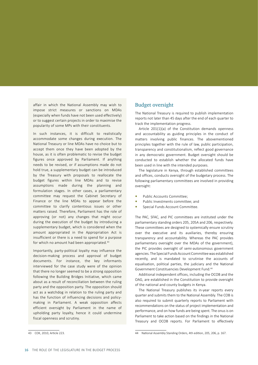affair in which the National Assembly may wish to impose strict measures or sanctions on MDAs (especially when funds have not been used effectively) or to suggest certain projects in order to maximise the popularity of some MPs with their constituents.

In such instances, it is difficult to realistically accommodate some changes during execution. The National Treasury or line MDAs have no choice but to accept them once they have been adopted by the house, as it is often problematic to revise the budget figures once approved by Parliament. If anything needs to be revised, or if assumptions made do not hold true, a supplementary budget can be introduced by the Treasury with proposals to reallocate the budget figures within line MDAs and to revise assumptions made during the planning and formulation stages. In other cases, a parliamentary committee may request the Cabinet Secretary of Finance or the line MDAs to appear before the committee to clarify contentious issues or other matters raised. Therefore, Parliament has the role of approving (or not) any changes that might occur during the execution of the budget by introducing a supplementary budget, which is considered when the amount appropriated in the Appropriation Act is insufficient or there is a need to spend for a purpose for which no amount had been appropriated.<sup>43</sup>

Importantly, party-political loyalty may influence the decision-making process and approval of budget documents. For instance, the key informants interviewed for the case study were of the opinion that there no longer seemed to be a strong opposition following the Building Bridges Initiative, which came about as a result of reconciliation between the ruling party and the opposition party. The opposition should act as a watchdog in relation to the ruling party and has the function of influencing decisions and policymaking in Parliament. A weak opposition affects efficient oversight by Parliament in the name of upholding party loyalty, hence it could undermine fiscal openness and scrutiny.

### Budget oversight

The National Treasury is required to publish implementation reports not later than 45 days after the end of each quarter to track the implementation progress.

Article 201(1)(a) of the Constitution demands openness and accountability as guiding principles in the conduct of matters involving public finances. The abovementioned principles together with the rule of law, public participation, transparency and constitutionalism, reflect good governance in any democratic government. Budget oversight should be conducted to establish whether the allocated funds have been used in line with the intended purposes.

The legislature in Kenya, through established committees and offices, conducts oversight of the budgetary process. The following parliamentary committees are involved in providing oversight:

- **•** Public Accounts Committee;
- **•** Public Investments committee; and
- **•** Special Funds Account Committee.

The PAC, SFAC, and PIC committees are instituted under the parliamentary standing orders 205, 205A and 206, respectively. These committees are designed to systemically ensure scrutiny over the executive and its auxiliaries, thereby ensuring transparency and accountability. Whereas the PAC provides parliamentary oversight over the MDAs of the government), the PIC provides oversight of semi-autonomous government agencies. The Special Funds Account Committee was established recently, and is mandated to scrutinise the accounts of equalisation, political parties, the judiciary and the National Government Constituencies Development Fund.<sup>44</sup>

Additional independent offices, including the OCOB and the OAG, are established in the Constitution to provide oversight of the national and county budgets in Kenya.

The National Treasury publishes its in-year reports every quarter and submits them to the National Assembly. The COB is also required to submit quarterly reports to Parliament with recommendations on the status of project implementation and performance, and on how funds are being spent. The onusis on Parliament to take action based on the findings in the National Treasury and OCOB reports. For Parliament to effectively

<sup>43</sup> COK, 2010, Article 223.

<sup>44</sup> National Assembly Standing Orders, 4th edition, 205, 206, p. 167.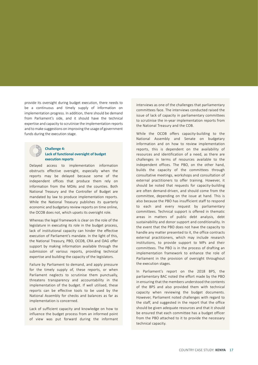provide its oversight during budget execution, there needs to be a continuous and timely supply of information on implementation progress. In addition, there should be demand from Parliament's side, and it should have the technical expertise and capacity to scrutinise the implementation reports and to make suggestions on improving the usage of government funds during the execution stage.



#### **Challenge 4: Lack of functional oversight of budget execution reports**

Delayed access to implementation information obstructs effective oversight, especially when the reports may be delayed because some of the independent offices that produce them rely on information from the MDAs and the counties. Both National Treasury and the Controller of Budget are mandated by law to produce implementation reports. While the National Treasury publishes its quarterly economic and budgetary review reports on time online, the OCOB does not, which upsets its oversight role.

Whereas the legal framework is clear on the role of the legislature in executing its role in the budget process, lack of institutional capacity can hinder the effective execution of Parliament's mandate. In the light of this, the National Treasury, PBO, OCOB, CRA and OAG offer support by making information available through the submission of various reports, providing technical expertise and building the capacity of the legislators.

Failure by Parliament to demand, and apply pressure for the timely supply of, these reports, or when Parliament neglects to scrutinise them punctually, threatens transparency and accountability in the implementation of the budget. If well utilised, these reports can be effective tools to be used by the National Assembly for checks and balances as far as implementation is concerned.

Lack of sufficient capacity and knowledge on how to influence the budget process from an informed point of view was put forward during the informant

interviews as one of the challenges that parliamentary committees face. The interviews conducted raised the issue of lack of capacity in parliamentary committees to scrutinise the in-year implementation reports from the National Treasury and the COB.

While the OCOB offers capacity-building to the National Assembly and Senate on budgetary information and on how to review implementation reports, this is dependent on the availability of resources and identification of a need, as there are challenges in terms of resources available to the independent offices. The PBO, on the other hand, builds the capacity of the committees through consultative meetings, workshops and consultation of external practitioners to offer training. However, it should be noted that requests for capacity-building are often demand-driven, and should come from the committee, depending on the issue at hand. This is also because the PBO has insufficient staff to respond to each and every request by parliamentary committees. Technical support is offered in thematic areas in matters of public debt analysis, debt sustainability and donor support and conditionality. In the event that the PBO does not have the capacity to handle any matter presented to it, the office contracts external practitioners, which may include research institutions, to provide support to MPs and their committees. The PBO is in the process of drafting an implementation framework to enhance the role of Parliament in the provision of oversight throughout the execution stages.

In Parliament's report on the 2018 BPS, the parliamentary BAC noted the effort made by the PBO in ensuring that the members understood the contents of the BPS and also provided them with technical capacity when reviewing the budget documents. However, Parliament noted challenges with regard to the staff, and suggested in the report that the office should be given adequate resources and that it should be ensured that each committee has a budget officer from the PBO attached to it to provide the necessary technical capacity.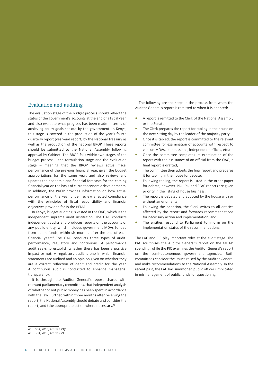### Evaluation and auditing

The evaluation stage of the budget process should reflect the status of the government's accounts at the end of a fiscal year, and also evaluate what progress has been made in terms of achieving policy goals set out by the government. In Kenya, this stage is covered in the production of the year's fourth quarterly report (year-end report) by the National Treasury as well as the production of the national BROP. These reports should be submitted to the National Assembly following approval by Cabinet. The BROP falls within two stages of the budget process – the formulation stage and the evaluation stage – meaning that the BROP reviews actual fiscal performance of the previous financial year, given the budget appropriations for the same year, and also reviews and updates the economic and financial forecasts for the coming financial year on the basis of current economic developments. In addition, the BROP provides information on how actual performance of the year under review affected compliance with the principles of fiscal responsibility and financial objectives provided for in the PFMA.

In Kenya, budget auditing is vested in the OAG, which is the independent supreme audit institution. The OAG conducts independent audits and produces reports on the accounts of any public entity, which includes government MDAs funded from public funds, within six months after the end of each financial year.<sup>45</sup> The OAG conducts three types of audit: performance, regulatory and continuous. A performance audit seeks to establish whether there has been a positive impact or not. A regulatory audit is one in which financial statements are audited and an opinion given on whether they are a correct reflection of debit and credit for the year. A continuous audit is conducted to enhance managerial transparency.

It is through the Auditor General's report, shared with relevant parliamentary committees, that independent analysis of whether or not public money has been spent in accordance with the law. Further, within three months after receiving the report, the National Assembly should debate and consider the report, and take appropriate action where necessary.<sup>46</sup>

The following are the steps in the process from when the Auditor General's report is remitted to when it is adopted:

- **•** A report is remitted to the Clerk of the National Assembly or the Senate;
- **•** The Clerk prepares the report for tabling in the house on the next sitting day by the leader of the majority party;
- **•** Once it is tabled, the report is committed to the relevant committee for examination of accounts with respect to various MDAs, commissions, independent offices, etc.;
- **•** Once the committee completes its examination of the report with the assistance of an official from the OAG, a final report is drafted;
- **•** The committee then adopts the final report and prepares it for tabling in the house for debate;
- **•** Following tabling, the report is listed in the order paper for debate; however, PAC, PIC and SFAC reports are given priority in the listing of house business;
- **•** The report is debated and adopted by the house with or without amendments;
- **•** Following the adoption, the Clerk writes to all entities affected by the report and forwards recommendations for necessary action and implementation; and
- **•** The entities respond to Parliament to inform on the implementation status of the recommendations.

The PAC and PIC play important roles at the audit stage. The PAC scrutinises the Auditor General's report on the MDAs' spending, while the PIC examines the Auditor General's report on the semi-autonomous government agencies. Both committees consider the issues raised by the Auditor General and make recommendations to the National Assembly. In the recent past, the PAC has summoned public officers implicated in mismanagement of public funds for questioning.

<sup>45</sup> COK, 2010, Article 229(1).

<sup>46</sup> COK, 2010, Article 229.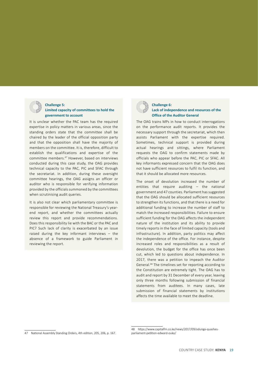

# **Challenge 5:**

### **Limited capacity of committees to hold the government to account**

It is unclear whether the PAC team has the required expertise in policy matters in various areas, since the standing orders state that the committee shall be chaired by the leader of the official opposition party and that the opposition shall have the majority of members on the committee. It is, therefore, difficult to establish the qualifications and expertise of the committee members.<sup>47</sup> However, based on interviews conducted during this case study, the OAG provides technical capacity to the PAC, PIC and SFAC through the secretariat. In addition, during these oversight committee hearings, the OAG assigns an officer or auditor who is responsible for verifying information provided by the officials summoned by the committees when scrutinising audit queries.

It is also not clear which parliamentary committee is responsible for reviewing the National Treasury's yearend report, and whether the committees actually review this report and provide recommendations. Does this responsibility lie with the BAC or the PAC and PIC? Such lack of clarity is exacerbated by an issue raised during the key informant interviews – the absence of a framework to guide Parliament in reviewing the report.



#### **Challenge 6: Lack of independence and resources of the Office of the Auditor General**

The OAG trains MPs in how to conduct interrogations on the performance audit reports. It provides the necessary support through the secretariat, which then assists Parliament with the expertise required. Sometimes, technical support is provided during actual hearings and sittings, where Parliament requests the OAG to confirm statements made by officials who appear before the PAC, PIC or SFAC. All key informants expressed concern that the OAG does not have sufficient resources to fulfil its function, and that it should be allocated more resources.

The onset of devolution increased the number of entities that require auditing – the national government and 47 counties. Parliament has suggested that the OAG should be allocated sufficient resources to strengthen its functions, and that there is a need for additional funding to increase the number of staff to match the increased responsibilities. Failure to ensure sufficient funding for the OAG affects the independent nature of the institution and its ability to provide timely reports in the face of limited capacity (tools and infrastructure). In addition, party politics may affect the independence of the office. For instance, despite increased roles and responsibilities as a result of devolution, the budget for the office has once been cut, which led to questions about independence. In 2017, there was a petition to impeach the Auditor General.<sup>48</sup> The timelines set for reporting according to the Constitution are extremely tight. The OAG has to audit and report by 31 December of every year, leaving only three months following submission of financial statements from auditees. In many cases, late submission of financial statements by institutions affects the time available to meet the deadline.

<sup>47</sup> National Assembly Standing Orders, 4th edition, 205, 206, p. 167.

<sup>48</sup> https://www.capitalfm.co.ke/news/2017/09/odunga-quashesparliament-petition-edward-ouko/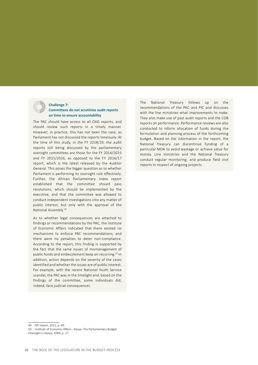

### **Challenge 7:**

#### **Committees do not scrutinise audit reports on time to ensure accountability**

The PAC should have access to all OAG reports, and should review such reports in a timely manner. However, in practice, this has not been the case, as Parliament has not discussed the reports timeously. At the time of this study, in the FY 2018/19, the audit reports still being discussed by the parliamentary oversight committees are those for the FY 2014/2015 and FY 2015/2016, as opposed to the FY 2016/17 report, which is the latest released by the Auditor General. This poses the bigger question as to whether Parliament is performing its oversight role effectively. Further, the African Parliamentary Index report established that the committee should pass resolutions, which should be implemented by the executive, and that the committee was allowed to conduct independent investigations into any matter of public interest, but only with the approval of the National Assembly.<sup>49</sup>

As to whether legal consequences are attached to findings or recommendations by the PAC, the Institute of Economic Affairs indicated that there existed no mechanisms to enforce PAC recommendations, and there were no penalties to deter non-compliance. According to the report, this finding is supported by the fact that the same issues of mismanagement of public funds and embezzlement keep on recurring.<sup>50</sup> In addition, action depends on the severity of the cases identified and whether the issues are of public interest. For example, with the recent National Youth Service scandal, the PAC was in the limelight and, based on the findings of the committee, some individuals did, indeed, face judicial consequences.

The National Treasury follows up on the recommendations of the PAC and PIC and discusses with the line ministries what improvements to make. They also make use of past audit reports and the COB reports on performance. Performance reviews are also conducted to inform allocation of funds during the formulation and planning process of the forthcoming budget. Based on the information in the report, the National Treasury can discontinue funding of a particular MDA to avoid wastage or achieve value for money. Line ministries and the National Treasury conduct regular monitoring, and produce field visit reports in respect of ongoing projects.

- 49 API report, 2012, p. 40.
- 50 Institute of Economic Affairs Kenya, The Parliamentary Budget
- Oversight in Kenya, 2009, p. 27.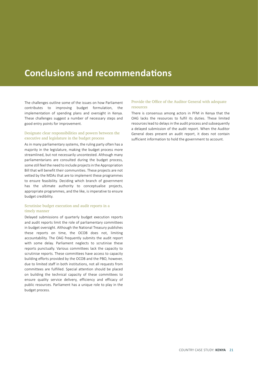# **Conclusions and recommendations**

The challenges outline some of the issues on how Parliament contributes to improving budget formulation, the implementation of spending plans and oversight in Kenya. These challenges suggest a number of necessary steps and good entry points for improvement.

#### Designate clear responsibilities and powers between the executive and legislature in the budget process

As in many parliamentary systems, the ruling party often has a majority in the legislature, making the budget process more streamlined, but not necessarily uncontested. Although many parliamentarians are consulted during the budget process, some still feel the need to include projectsin the Appropriation Bill that will benefit their communities. These projects are not vetted by the MDAs that are to implement these programmes to ensure feasibility. Deciding which branch of government has the ultimate authority to conceptualise projects, appropriate programmes, and the like, is imperative to ensure budget credibility.

#### Scrutinise budget execution and audit reports in a timely manner

Delayed submissions of quarterly budget execution reports and audit reports limit the role of parliamentary committees in budget oversight. Although the National Treasury publishes these reports on time, the OCOB does not, limiting accountability. The OAG frequently submits the audit report with some delay. Parliament neglects to scrutinise these reports punctually. Various committees lack the capacity to scrutinise reports. These committees have access to capacity building efforts provided by the OCOB and the PBO, however, due to limited staff in both institutions, not all requests from committees are fulfilled. Special attention should be placed on building the technical capacity of these committees to ensure quality service delivery, efficiency and efficacy of public resources. Parliament has a unique role to play in the budget process.

#### Provide the Office of the Auditor General with adequate resources

There is consensus among actors in PFM in Kenya that the OAG lacks the resources to fulfil its duties. These limited resources lead to delays in the audit process and subsequently a delayed submission of the audit report. When the Auditor General does present an audit report, it does not contain sufficient information to hold the government to account.